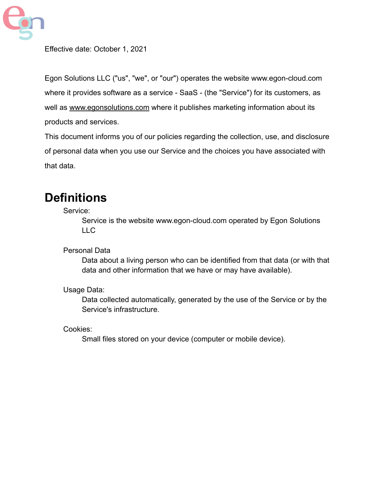

Effective date: October 1, 2021

Egon Solutions LLC ("us", "we", or "our") operates the website [www.egon-cloud.com](http://www.egonsolutions.com/) where it provides software as a service - SaaS - (the "Service") for its customers, as well as [www.egonsolutions.com](http://www.egonsolutions.com) where it publishes marketing information about its products and services.

This document informs you of our policies regarding the collection, use, and disclosure of personal data when you use our Service and the choices you have associated with that data.

### **Definitions**

Service:

Service is the website [www.egon-cloud.com](http://www.egonsolutions.com/) operated by Egon Solutions LLC

Personal Data

Data about a living person who can be identified from that data (or with that data and other information that we have or may have available).

Usage Data:

Data collected automatically, generated by the use of the Service or by the Service's infrastructure.

Cookies:

Small files stored on your device (computer or mobile device).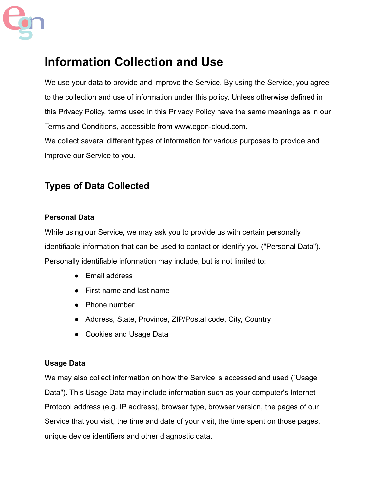

### **Information Collection and Use**

We use your data to provide and improve the Service. By using the Service, you agree to the collection and use of information under this policy. Unless otherwise defined in this Privacy Policy, terms used in this Privacy Policy have the same meanings as in our Terms and Conditions, accessible from [www.egon-cloud.com](http://www.egonsolutions.com/).

We collect several different types of information for various purposes to provide and improve our Service to you.

#### **Types of Data Collected**

#### **Personal Data**

While using our Service, we may ask you to provide us with certain personally identifiable information that can be used to contact or identify you ("Personal Data"). Personally identifiable information may include, but is not limited to:

- Email address
- First name and last name
- Phone number
- Address, State, Province, ZIP/Postal code, City, Country
- Cookies and Usage Data

#### **Usage Data**

We may also collect information on how the Service is accessed and used ("Usage Data"). This Usage Data may include information such as your computer's Internet Protocol address (e.g. IP address), browser type, browser version, the pages of our Service that you visit, the time and date of your visit, the time spent on those pages, unique device identifiers and other diagnostic data.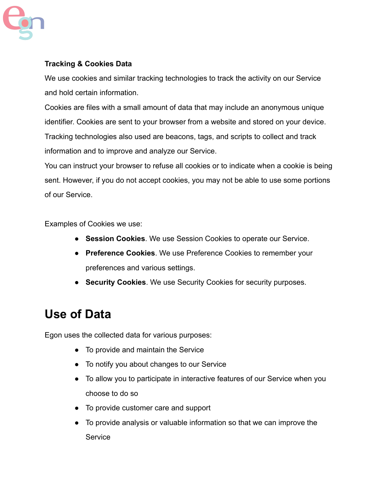

#### **Tracking & Cookies Data**

We use cookies and similar tracking technologies to track the activity on our Service and hold certain information.

Cookies are files with a small amount of data that may include an anonymous unique identifier. Cookies are sent to your browser from a website and stored on your device. Tracking technologies also used are beacons, tags, and scripts to collect and track information and to improve and analyze our Service.

You can instruct your browser to refuse all cookies or to indicate when a cookie is being sent. However, if you do not accept cookies, you may not be able to use some portions of our Service.

Examples of Cookies we use:

- **Session Cookies**. We use Session Cookies to operate our Service.
- **Preference Cookies**. We use Preference Cookies to remember your preferences and various settings.
- **Security Cookies**. We use Security Cookies for security purposes.

### **Use of Data**

Egon uses the collected data for various purposes:

- To provide and maintain the Service
- To notify you about changes to our Service
- To allow you to participate in interactive features of our Service when you choose to do so
- To provide customer care and support
- To provide analysis or valuable information so that we can improve the **Service**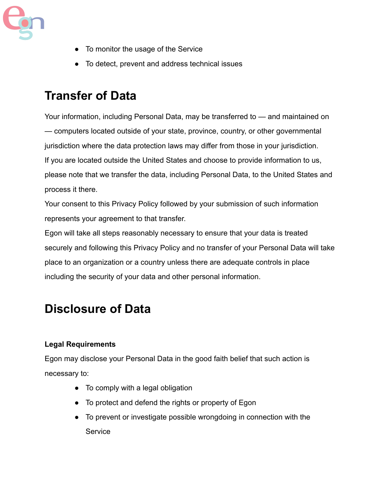

- To monitor the usage of the Service
- To detect, prevent and address technical issues

### **Transfer of Data**

Your information, including Personal Data, may be transferred to — and maintained on — computers located outside of your state, province, country, or other governmental jurisdiction where the data protection laws may differ from those in your jurisdiction. If you are located outside the United States and choose to provide information to us, please note that we transfer the data, including Personal Data, to the United States and process it there.

Your consent to this Privacy Policy followed by your submission of such information represents your agreement to that transfer.

Egon will take all steps reasonably necessary to ensure that your data is treated securely and following this Privacy Policy and no transfer of your Personal Data will take place to an organization or a country unless there are adequate controls in place including the security of your data and other personal information.

### **Disclosure of Data**

#### **Legal Requirements**

Egon may disclose your Personal Data in the good faith belief that such action is necessary to:

- To comply with a legal obligation
- To protect and defend the rights or property of Egon
- To prevent or investigate possible wrongdoing in connection with the **Service**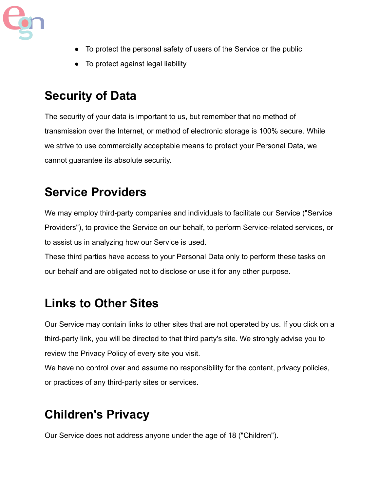

- To protect the personal safety of users of the Service or the public
- To protect against legal liability

### **Security of Data**

The security of your data is important to us, but remember that no method of transmission over the Internet, or method of electronic storage is 100% secure. While we strive to use commercially acceptable means to protect your Personal Data, we cannot guarantee its absolute security.

# **Service Providers**

We may employ third-party companies and individuals to facilitate our Service ("Service Providers"), to provide the Service on our behalf, to perform Service-related services, or to assist us in analyzing how our Service is used.

These third parties have access to your Personal Data only to perform these tasks on our behalf and are obligated not to disclose or use it for any other purpose.

## **Links to Other Sites**

Our Service may contain links to other sites that are not operated by us. If you click on a third-party link, you will be directed to that third party's site. We strongly advise you to review the Privacy Policy of every site you visit.

We have no control over and assume no responsibility for the content, privacy policies, or practices of any third-party sites or services.

# **Children's Privacy**

Our Service does not address anyone under the age of 18 ("Children").